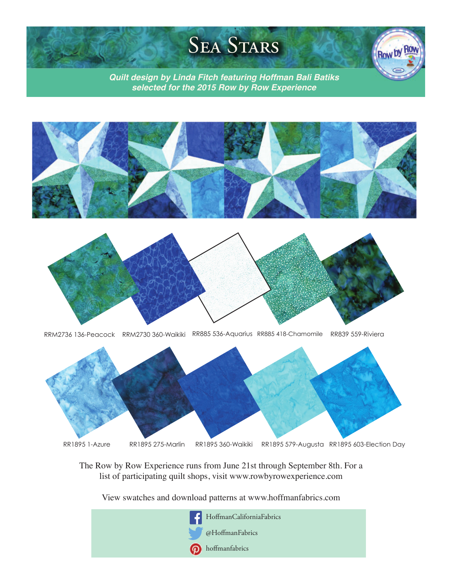## **SEA STARS**

Row by Ro

*Quilt design by Linda Fitch featuring Hoffman Bali Batiks selected for the 2015 Row by Row Experience*





RRM2736 136-Peacock RRM2730 360-Waikiki RR885 536-Aquarius RR885 418-Chamomile RR839 559-Riviera



The Row by Row Experience runs from June 21st through September 8th. For a list of participating quilt shops, visit www.rowbyrowexperience.com

View swatches and download patterns at www.hoffmanfabrics.com

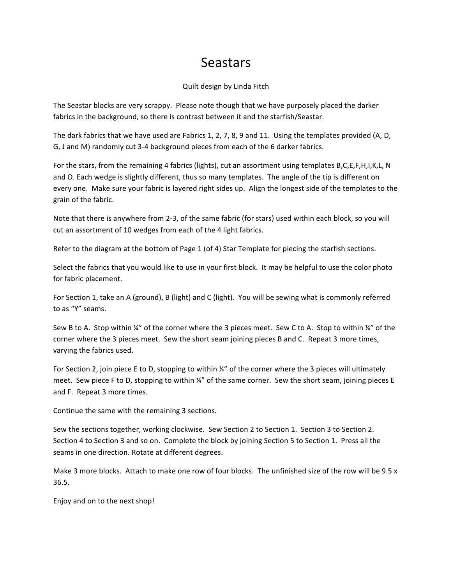## Seastars

## Quilt design by Linda Fitch

The Seastar blocks are very scrappy. Please note though that we have purposely placed the darker fabrics in the background, so there is contrast between it and the starfish/Seastar.

The dark fabrics that we have used are Fabrics 1, 2, 7, 8, 9 and 11. Using the templates provided (A, D, G, J and M) randomly cut 3-4 background pieces from each of the 6 darker fabrics.

For the stars, from the remaining 4 fabrics (lights), cut an assortment using templates B,C,E,F,H,I,K,L, N and O. Each wedge is slightly different, thus so many templates. The angle of the tip is different on every one. Make sure your fabric is layered right sides up. Align the longest side of the templates to the grain of the fabric.

Note that there is anywhere from 2-3, of the same fabric (for stars) used within each block, so you will cut an assortment of 10 wedges from each of the 4 light fabrics.

Refer to the diagram at the bottom of Page 1 (of 4) Star Template for piecing the starfish sections.

Select the fabrics that you would like to use in your first block. It may be helpful to use the color photo for fabric placement.

For Section 1, take an A (ground), B (light) and C (light). You will be sewing what is commonly referred to as "Y" seams.

Sew B to A. Stop within '4" of the corner where the 3 pieces meet. Sew C to A. Stop to within '4" of the corner where the 3 pieces meet. Sew the short seam joining pieces B and C. Repeat 3 more times, varying the fabrics used.

For Section 2, join piece E to D, stopping to within ¼" of the corner where the 3 pieces will ultimately meet. Sew piece F to D, stopping to within ¼" of the same corner. Sew the short seam, joining pieces E and F. Repeat 3 more times.

Continue the same with the remaining 3 sections.

Sew the sections together, working clockwise. Sew Section 2 to Section 1. Section 3 to Section 2. Section 4 to Section 3 and so on. Complete the block by joining Section 5 to Section 1. Press all the seams in one direction. Rotate at different degrees.

Make 3 more blocks. Attach to make one row of four blocks. The unfinished size of the row will be 9.5 x 36.5.

Enjoy and on to the next shop!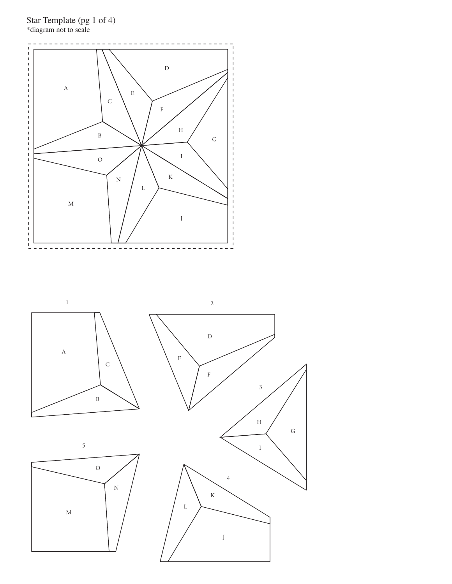

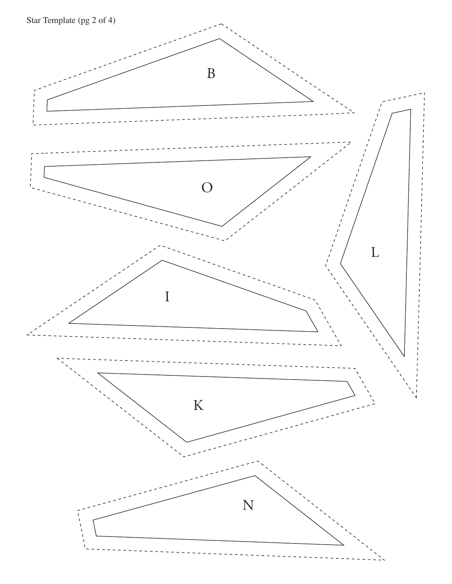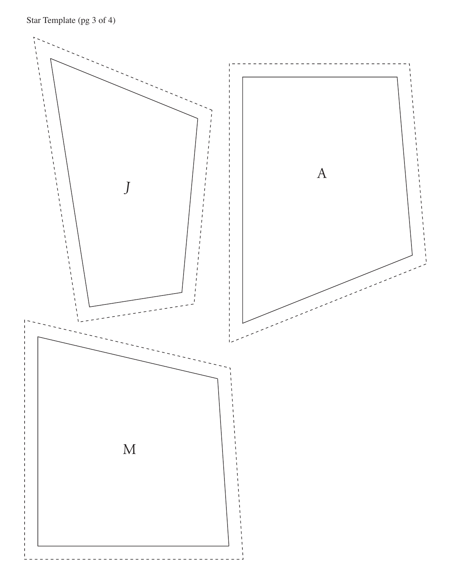